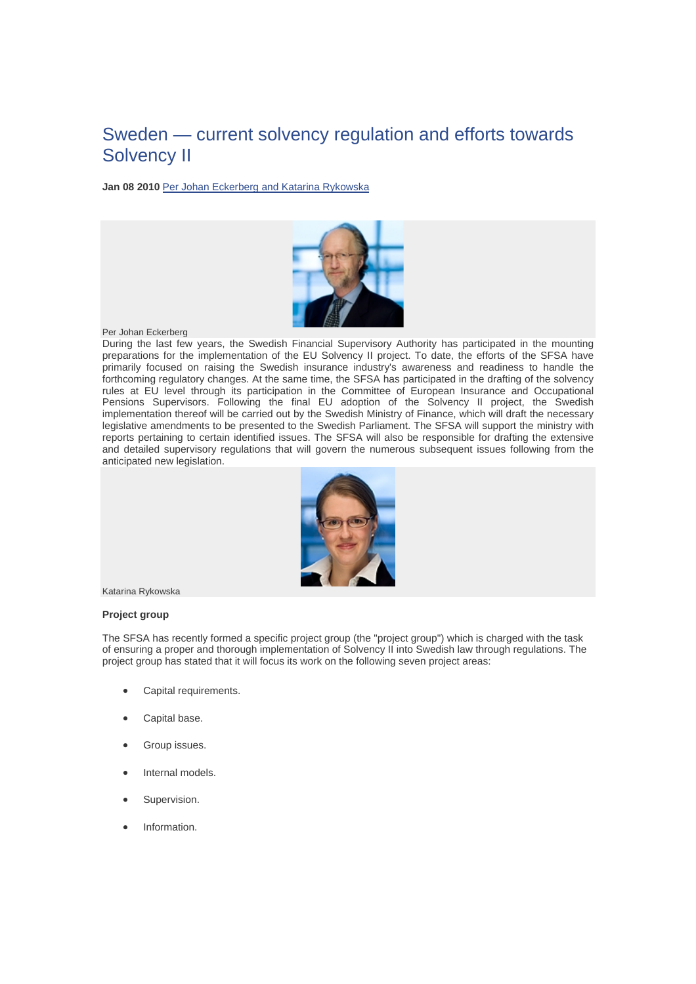# Sweden — current solvency regulation and efforts towards Solvency II

**Jan 08 2010** Per Johan Eckerberg and Katarina Rykowska



# Per Johan Eckerberg

During the last few years, the Swedish Financial Supervisory Authority has participated in the mounting preparations for the implementation of the EU Solvency II project. To date, the efforts of the SFSA have primarily focused on raising the Swedish insurance industry's awareness and readiness to handle the forthcoming regulatory changes. At the same time, the SFSA has participated in the drafting of the solvency rules at EU level through its participation in the Committee of European Insurance and Occupational Pensions Supervisors. Following the final EU adoption of the Solvency II project, the Swedish implementation thereof will be carried out by the Swedish Ministry of Finance, which will draft the necessary legislative amendments to be presented to the Swedish Parliament. The SFSA will support the ministry with reports pertaining to certain identified issues. The SFSA will also be responsible for drafting the extensive and detailed supervisory regulations that will govern the numerous subsequent issues following from the anticipated new legislation.



Katarina Rykowska

# **Project group**

The SFSA has recently formed a specific project group (the "project group") which is charged with the task of ensuring a proper and thorough implementation of Solvency II into Swedish law through regulations. The project group has stated that it will focus its work on the following seven project areas:

- Capital requirements.
- Capital base.
- Group issues.
- Internal models.
- Supervision.
- Information.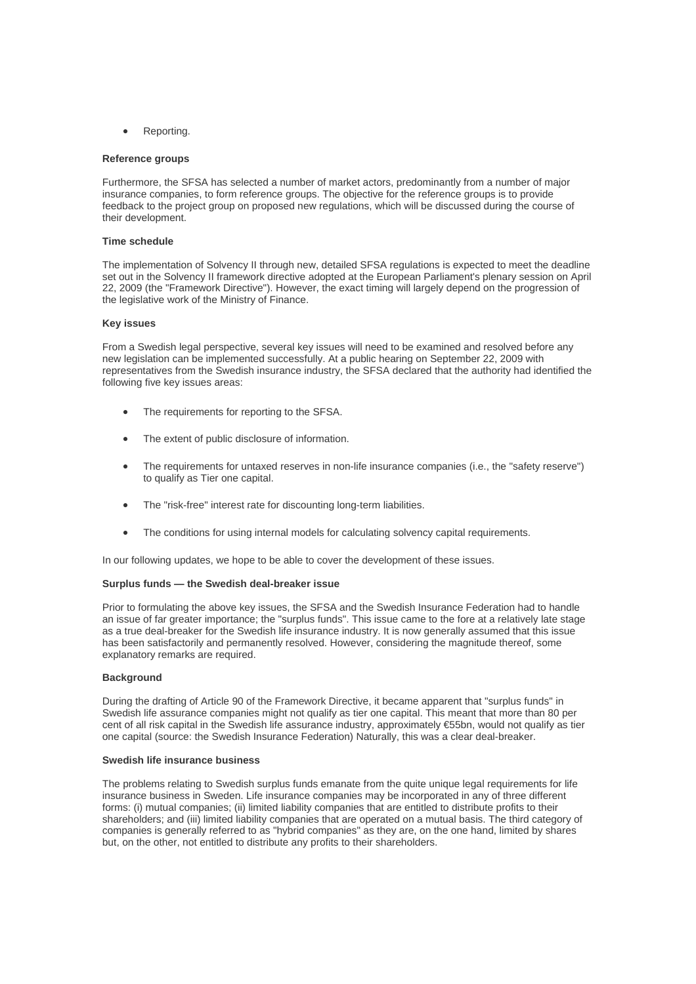Reporting.

## **Reference groups**

Furthermore, the SFSA has selected a number of market actors, predominantly from a number of major insurance companies, to form reference groups. The objective for the reference groups is to provide feedback to the project group on proposed new regulations, which will be discussed during the course of their development.

# **Time schedule**

The implementation of Solvency II through new, detailed SFSA regulations is expected to meet the deadline set out in the Solvency II framework directive adopted at the European Parliament's plenary session on April 22, 2009 (the "Framework Directive"). However, the exact timing will largely depend on the progression of the legislative work of the Ministry of Finance.

#### **Key issues**

From a Swedish legal perspective, several key issues will need to be examined and resolved before any new legislation can be implemented successfully. At a public hearing on September 22, 2009 with representatives from the Swedish insurance industry, the SFSA declared that the authority had identified the following five key issues areas:

- The requirements for reporting to the SFSA.
- The extent of public disclosure of information.
- The requirements for untaxed reserves in non-life insurance companies (i.e., the "safety reserve") to qualify as Tier one capital.
- The "risk-free" interest rate for discounting long-term liabilities.
- The conditions for using internal models for calculating solvency capital requirements.

In our following updates, we hope to be able to cover the development of these issues.

#### **Surplus funds — the Swedish deal-breaker issue**

Prior to formulating the above key issues, the SFSA and the Swedish Insurance Federation had to handle an issue of far greater importance; the "surplus funds". This issue came to the fore at a relatively late stage as a true deal-breaker for the Swedish life insurance industry. It is now generally assumed that this issue has been satisfactorily and permanently resolved. However, considering the magnitude thereof, some explanatory remarks are required.

#### **Background**

During the drafting of Article 90 of the Framework Directive, it became apparent that "surplus funds" in Swedish life assurance companies might not qualify as tier one capital. This meant that more than 80 per cent of all risk capital in the Swedish life assurance industry, approximately €55bn, would not qualify as tier one capital (source: the Swedish Insurance Federation) Naturally, this was a clear deal-breaker.

#### **Swedish life insurance business**

The problems relating to Swedish surplus funds emanate from the quite unique legal requirements for life insurance business in Sweden. Life insurance companies may be incorporated in any of three different forms: (i) mutual companies; (ii) limited liability companies that are entitled to distribute profits to their shareholders; and (iii) limited liability companies that are operated on a mutual basis. The third category of companies is generally referred to as "hybrid companies" as they are, on the one hand, limited by shares but, on the other, not entitled to distribute any profits to their shareholders.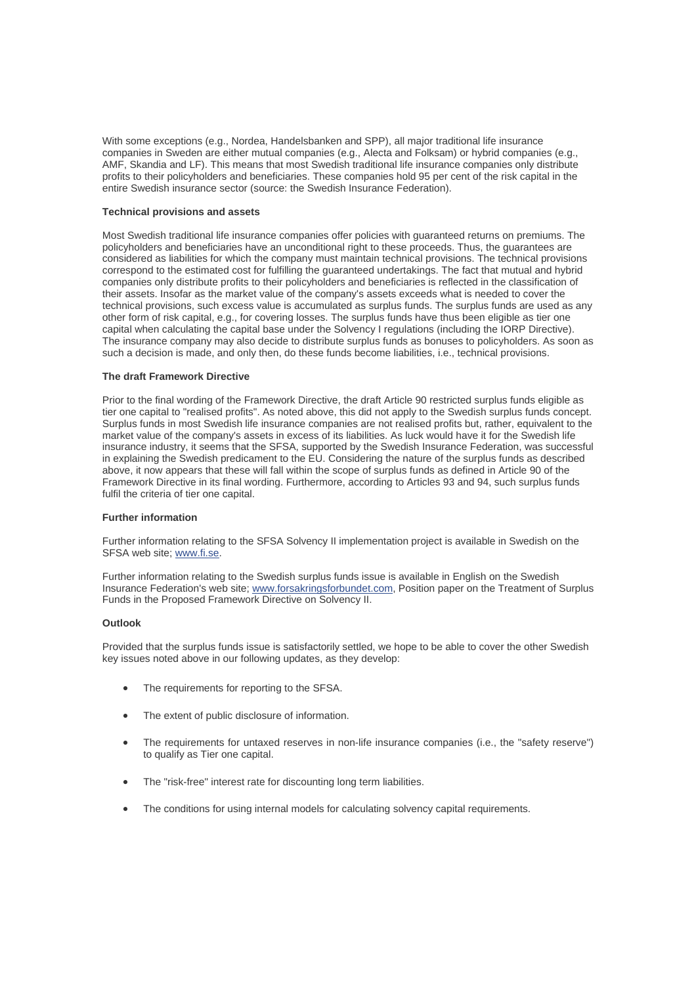With some exceptions (e.g., Nordea, Handelsbanken and SPP), all major traditional life insurance companies in Sweden are either mutual companies (e.g., Alecta and Folksam) or hybrid companies (e.g., AMF, Skandia and LF). This means that most Swedish traditional life insurance companies only distribute profits to their policyholders and beneficiaries. These companies hold 95 per cent of the risk capital in the entire Swedish insurance sector (source: the Swedish Insurance Federation).

#### **Technical provisions and assets**

Most Swedish traditional life insurance companies offer policies with guaranteed returns on premiums. The policyholders and beneficiaries have an unconditional right to these proceeds. Thus, the guarantees are considered as liabilities for which the company must maintain technical provisions. The technical provisions correspond to the estimated cost for fulfilling the guaranteed undertakings. The fact that mutual and hybrid companies only distribute profits to their policyholders and beneficiaries is reflected in the classification of their assets. Insofar as the market value of the company's assets exceeds what is needed to cover the technical provisions, such excess value is accumulated as surplus funds. The surplus funds are used as any other form of risk capital, e.g., for covering losses. The surplus funds have thus been eligible as tier one capital when calculating the capital base under the Solvency I regulations (including the IORP Directive). The insurance company may also decide to distribute surplus funds as bonuses to policyholders. As soon as such a decision is made, and only then, do these funds become liabilities, i.e., technical provisions.

## **The draft Framework Directive**

Prior to the final wording of the Framework Directive, the draft Article 90 restricted surplus funds eligible as tier one capital to "realised profits". As noted above, this did not apply to the Swedish surplus funds concept. Surplus funds in most Swedish life insurance companies are not realised profits but, rather, equivalent to the market value of the company's assets in excess of its liabilities. As luck would have it for the Swedish life insurance industry, it seems that the SFSA, supported by the Swedish Insurance Federation, was successful in explaining the Swedish predicament to the EU. Considering the nature of the surplus funds as described above, it now appears that these will fall within the scope of surplus funds as defined in Article 90 of the Framework Directive in its final wording. Furthermore, according to Articles 93 and 94, such surplus funds fulfil the criteria of tier one capital.

#### **Further information**

Further information relating to the SFSA Solvency II implementation project is available in Swedish on the SFSA web site; www.fi.se.

Further information relating to the Swedish surplus funds issue is available in English on the Swedish Insurance Federation's web site; www.forsakringsforbundet.com, Position paper on the Treatment of Surplus Funds in the Proposed Framework Directive on Solvency II.

# **Outlook**

Provided that the surplus funds issue is satisfactorily settled, we hope to be able to cover the other Swedish key issues noted above in our following updates, as they develop:

- The requirements for reporting to the SFSA.
- The extent of public disclosure of information.
- The requirements for untaxed reserves in non-life insurance companies (i.e., the "safety reserve") to qualify as Tier one capital.
- The "risk-free" interest rate for discounting long term liabilities.
- The conditions for using internal models for calculating solvency capital requirements.